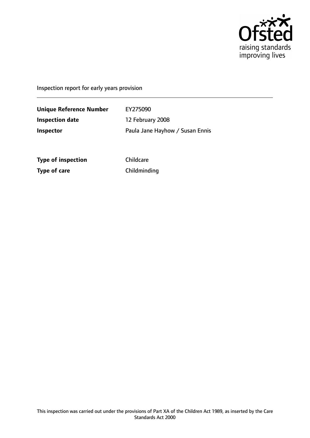

Inspection report for early years provision

**Unique Reference Number** EY275090 **Inspection date** 12 February 2008 **Inspector** Paula Jane Hayhow / Susan Ennis

**Type of inspection** Childcare **Type of care** Childminding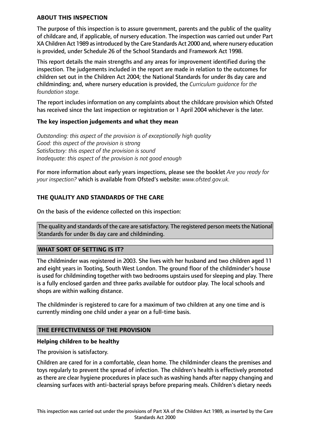### **ABOUT THIS INSPECTION**

The purpose of this inspection is to assure government, parents and the public of the quality of childcare and, if applicable, of nursery education. The inspection was carried out under Part XA Children Act 1989 asintroduced by the Care Standards Act 2000 and, where nursery education is provided, under Schedule 26 of the School Standards and Framework Act 1998.

This report details the main strengths and any areas for improvement identified during the inspection. The judgements included in the report are made in relation to the outcomes for children set out in the Children Act 2004; the National Standards for under 8s day care and childminding; and, where nursery education is provided, the *Curriculum guidance for the foundation stage.*

The report includes information on any complaints about the childcare provision which Ofsted has received since the last inspection or registration or 1 April 2004 whichever is the later.

### **The key inspection judgements and what they mean**

*Outstanding: this aspect of the provision is of exceptionally high quality Good: this aspect of the provision is strong Satisfactory: this aspect of the provision is sound Inadequate: this aspect of the provision is not good enough*

For more information about early years inspections, please see the booklet *Are you ready for your inspection?* which is available from Ofsted's website: *www.ofsted.gov.uk.*

## **THE QUALITY AND STANDARDS OF THE CARE**

On the basis of the evidence collected on this inspection:

The quality and standards of the care are satisfactory. The registered person meets the National Standards for under 8s day care and childminding.

#### **WHAT SORT OF SETTING IS IT?**

The childminder was registered in 2003. She lives with her husband and two children aged 11 and eight years in Tooting, South West London. The ground floor of the childminder's house is used for childminding together with two bedrooms upstairs used for sleeping and play. There is a fully enclosed garden and three parks available for outdoor play. The local schools and shops are within walking distance.

The childminder is registered to care for a maximum of two children at any one time and is currently minding one child under a year on a full-time basis.

## **THE EFFECTIVENESS OF THE PROVISION**

#### **Helping children to be healthy**

The provision is satisfactory.

Children are cared for in a comfortable, clean home. The childminder cleans the premises and toys regularly to prevent the spread of infection. The children's health is effectively promoted as there are clear hygiene procedures in place such as washing hands after nappy changing and cleansing surfaces with anti-bacterial sprays before preparing meals. Children's dietary needs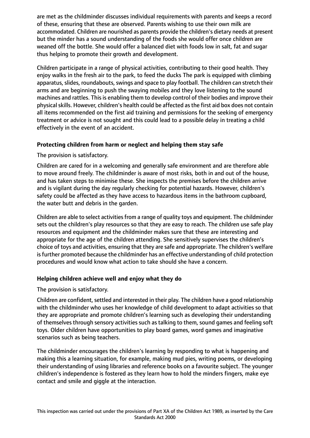are met as the childminder discusses individual requirements with parents and keeps a record of these, ensuring that these are observed. Parents wishing to use their own milk are accommodated. Children are nourished as parents provide the children's dietary needs at present but the minder has a sound understanding of the foods she would offer once children are weaned off the bottle. She would offer a balanced diet with foods low in salt, fat and sugar thus helping to promote their growth and development.

Children participate in a range of physical activities, contributing to their good health. They enjoy walks in the fresh air to the park, to feed the ducks The park is equipped with climbing apparatus, slides, roundabouts, swings and space to play football. The children can stretch their arms and are beginning to push the swaying mobiles and they love listening to the sound machines and rattles. This is enabling them to develop control of their bodies and improve their physical skills. However, children's health could be affected as the first aid box does not contain all items recommended on the first aid training and permissions for the seeking of emergency treatment or advice is not sought and this could lead to a possible delay in treating a child effectively in the event of an accident.

# **Protecting children from harm or neglect and helping them stay safe**

The provision is satisfactory.

Children are cared for in a welcoming and generally safe environment and are therefore able to move around freely. The childminder is aware of most risks, both in and out of the house, and has taken steps to minimise these. She inspects the premises before the children arrive and is vigilant during the day regularly checking for potential hazards. However, children's safety could be affected as they have access to hazardous items in the bathroom cupboard, the water butt and debris in the garden.

Children are able to select activitiesfrom a range of quality toys and equipment. The childminder sets out the children's play resources so that they are easy to reach. The children use safe play resources and equipment and the childminder makes sure that these are interesting and appropriate for the age of the children attending. She sensitively supervises the children's choice of toys and activities, ensuring that they are safe and appropriate. The children's welfare is further promoted because the childminder has an effective understanding of child protection procedures and would know what action to take should she have a concern.

## **Helping children achieve well and enjoy what they do**

The provision is satisfactory.

Children are confident, settled and interested in their play. The children have a good relationship with the childminder who uses her knowledge of child development to adapt activities so that they are appropriate and promote children's learning such as developing their understanding of themselves through sensory activities such as talking to them, sound games and feeling soft toys. Older children have opportunities to play board games, word games and imaginative scenarios such as being teachers.

The childminder encourages the children's learning by responding to what is happening and making this a learning situation, for example, making mud pies, writing poems, or developing their understanding of using libraries and reference books on a favourite subject. The younger children's independence is fostered as they learn how to hold the minders fingers, make eye contact and smile and giggle at the interaction.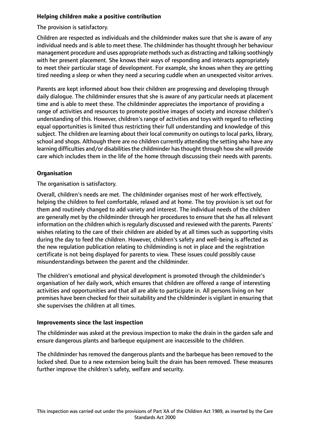# **Helping children make a positive contribution**

The provision is satisfactory.

Children are respected as individuals and the childminder makes sure that she is aware of any individual needs and is able to meet these. The childminder has thought through her behaviour management procedure and uses appropriate methods such as distracting and talking soothingly with her present placement. She knows their ways of responding and interacts appropriately to meet their particular stage of development. For example, she knows when they are getting tired needing a sleep or when they need a securing cuddle when an unexpected visitor arrives.

Parents are kept informed about how their children are progressing and developing through daily dialogue. The childminder ensures that she is aware of any particular needs at placement time and is able to meet these. The childminder appreciates the importance of providing a range of activities and resources to promote positive images of society and increase children's understanding of this. However, children's range of activities and toys with regard to reflecting equal opportunities is limited thus restricting their full understanding and knowledge of this subject. The children are learning about their local community on outings to local parks, library, school and shops. Although there are no children currently attending the setting who have any learning difficulties and/or disabilities the childminder has thought through how she will provide care which includes them in the life of the home through discussing their needs with parents.

# **Organisation**

The organisation is satisfactory.

Overall, children's needs are met. The childminder organises most of her work effectively, helping the children to feel comfortable, relaxed and at home. The toy provision is set out for them and routinely changed to add variety and interest. The individual needs of the children are generally met by the childminder through her procedures to ensure that she has all relevant information on the children which is regularly discussed and reviewed with the parents. Parents' wishes relating to the care of their children are abided by at all times such as supporting visits during the day to feed the children. However, children's safety and well-being is affected as the new regulation publication relating to childminding is not in place and the registration certificate is not being displayed for parents to view. These issues could possibly cause misunderstandings between the parent and the childminder.

The children's emotional and physical development is promoted through the childminder's organisation of her daily work, which ensures that children are offered a range of interesting activities and opportunities and that all are able to participate in. All persons living on her premises have been checked for their suitability and the childminder is vigilant in ensuring that she supervises the children at all times.

## **Improvements since the last inspection**

The childminder was asked at the previous inspection to make the drain in the garden safe and ensure dangerous plants and barbeque equipment are inaccessible to the children.

The childminder has removed the dangerous plants and the barbeque has been removed to the locked shed. Due to a new extension being built the drain has been removed. These measures further improve the children's safety, welfare and security.